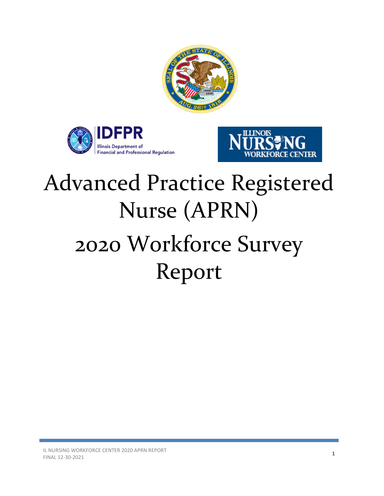





# Advanced Practice Registered Nurse (APRN) 2020 Workforce Survey Report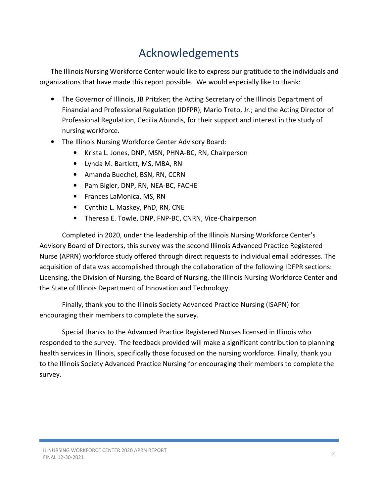# Acknowledgements

The Illinois Nursing Workforce Center would like to express our gratitude to the individuals and organizations that have made this report possible. We would especially like to thank:

- The Governor of Illinois, JB Pritzker; the Acting Secretary of the Illinois Department of Financial and Professional Regulation (IDFPR), Mario Treto, Jr.; and the Acting Director of Professional Regulation, Cecilia Abundis, for their support and interest in the study of nursing workforce.
- The Illinois Nursing Workforce Center Advisory Board:
	- Krista L. Jones, DNP, MSN, PHNA-BC, RN, Chairperson
	- Lynda M. Bartlett, MS, MBA, RN
	- Amanda Buechel, BSN, RN, CCRN
	- Pam Bigler, DNP, RN, NEA-BC, FACHE
	- Frances LaMonica, MS, RN
	- Cynthia L. Maskey, PhD, RN, CNE
	- Theresa E. Towle, DNP, FNP-BC, CNRN, Vice-Chairperson

Completed in 2020, under the leadership of the Illinois Nursing Workforce Center's Advisory Board of Directors, this survey was the second Illinois Advanced Practice Registered Nurse (APRN) workforce study offered through direct requests to individual email addresses. The acquisition of data was accomplished through the collaboration of the following IDFPR sections: Licensing, the Division of Nursing, the Board of Nursing, the Illinois Nursing Workforce Center and the State of Illinois Department of Innovation and Technology.

Finally, thank you to the Illinois Society Advanced Practice Nursing (ISAPN) for encouraging their members to complete the survey.

Special thanks to the Advanced Practice Registered Nurses licensed in Illinois who responded to the survey. The feedback provided will make a significant contribution to planning health services in Illinois, specifically those focused on the nursing workforce. Finally, thank you to the Illinois Society Advanced Practice Nursing for encouraging their members to complete the survey.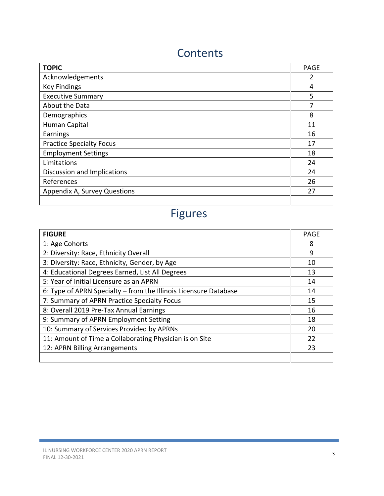# **Contents**

| <b>TOPIC</b>                    | <b>PAGE</b> |  |  |  |  |
|---------------------------------|-------------|--|--|--|--|
| Acknowledgements                | 2           |  |  |  |  |
| <b>Key Findings</b>             | 4           |  |  |  |  |
| <b>Executive Summary</b>        | 5           |  |  |  |  |
| About the Data                  | 7           |  |  |  |  |
| Demographics                    | 8           |  |  |  |  |
| Human Capital                   | 11          |  |  |  |  |
| Earnings                        | 16          |  |  |  |  |
| <b>Practice Specialty Focus</b> | 17          |  |  |  |  |
| <b>Employment Settings</b>      | 18          |  |  |  |  |
| Limitations                     | 24          |  |  |  |  |
| Discussion and Implications     | 24          |  |  |  |  |
| References                      | 26          |  |  |  |  |
| Appendix A, Survey Questions    |             |  |  |  |  |
|                                 |             |  |  |  |  |

# Figures

| <b>FIGURE</b>                                                    |    |  |  |  |  |  |
|------------------------------------------------------------------|----|--|--|--|--|--|
| 1: Age Cohorts                                                   |    |  |  |  |  |  |
| 2: Diversity: Race, Ethnicity Overall                            |    |  |  |  |  |  |
| 3: Diversity: Race, Ethnicity, Gender, by Age                    | 10 |  |  |  |  |  |
| 4: Educational Degrees Earned, List All Degrees                  | 13 |  |  |  |  |  |
| 5: Year of Initial Licensure as an APRN                          | 14 |  |  |  |  |  |
| 6: Type of APRN Specialty - from the Illinois Licensure Database |    |  |  |  |  |  |
| 7: Summary of APRN Practice Specialty Focus                      |    |  |  |  |  |  |
| 8: Overall 2019 Pre-Tax Annual Earnings                          |    |  |  |  |  |  |
| 9: Summary of APRN Employment Setting                            |    |  |  |  |  |  |
| 10: Summary of Services Provided by APRNs                        |    |  |  |  |  |  |
| 11: Amount of Time a Collaborating Physician is on Site          |    |  |  |  |  |  |
| 12: APRN Billing Arrangements                                    |    |  |  |  |  |  |
|                                                                  |    |  |  |  |  |  |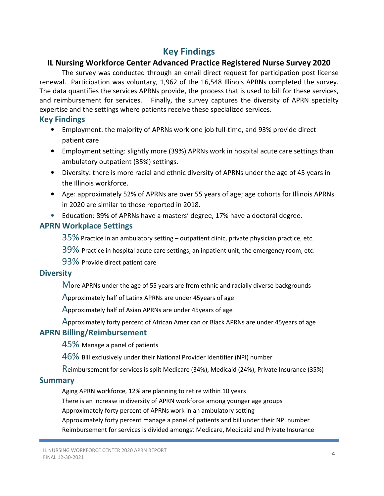### Key Findings

### IL Nursing Workforce Center Advanced Practice Registered Nurse Survey 2020

The survey was conducted through an email direct request for participation post license renewal. Participation was voluntary, 1,962 of the 16,548 Illinois APRNs completed the survey. The data quantifies the services APRNs provide, the process that is used to bill for these services, and reimbursement for services. Finally, the survey captures the diversity of APRN specialty expertise and the settings where patients receive these specialized services.

#### Key Findings

- Employment: the majority of APRNs work one job full-time, and 93% provide direct patient care
- Employment setting: slightly more (39%) APRNs work in hospital acute care settings than ambulatory outpatient (35%) settings.
- Diversity: there is more racial and ethnic diversity of APRNs under the age of 45 years in the Illinois workforce.
- Age: approximately 52% of APRNs are over 55 years of age; age cohorts for Illinois APRNs in 2020 are similar to those reported in 2018.
- Education: 89% of APRNs have a masters' degree, 17% have a doctoral degree.

#### APRN Workplace Settings

35% Practice in an ambulatory setting – outpatient clinic, private physician practice, etc.

39% Practice in hospital acute care settings, an inpatient unit, the emergency room, etc.

93% Provide direct patient care

#### **Diversity**

More APRNs under the age of 55 years are from ethnic and racially diverse backgrounds

Approximately half of Latinx APRNs are under 45years of age

Approximately half of Asian APRNs are under 45years of age

Approximately forty percent of African American or Black APRNs are under 45years of age

### APRN Billing/Reimbursement

45% Manage a panel of patients

46% Bill exclusively under their National Provider Identifier (NPI) number

Reimbursement for services is split Medicare (34%), Medicaid (24%), Private Insurance (35%)

### **Summary**

Aging APRN workforce, 12% are planning to retire within 10 years

There is an increase in diversity of APRN workforce among younger age groups

Approximately forty percent of APRNs work in an ambulatory setting

Approximately forty percent manage a panel of patients and bill under their NPI number Reimbursement for services is divided amongst Medicare, Medicaid and Private Insurance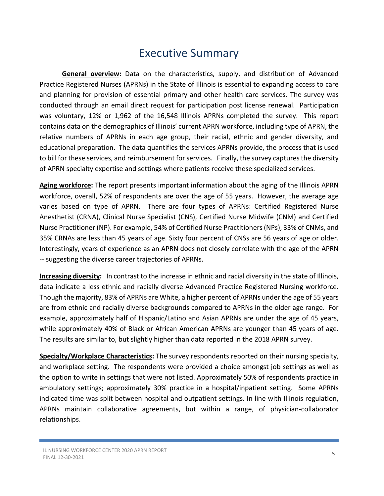### Executive Summary

General overview: Data on the characteristics, supply, and distribution of Advanced Practice Registered Nurses (APRNs) in the State of Illinois is essential to expanding access to care and planning for provision of essential primary and other health care services. The survey was conducted through an email direct request for participation post license renewal. Participation was voluntary, 12% or 1,962 of the 16,548 Illinois APRNs completed the survey. This report contains data on the demographics of Illinois' current APRN workforce, including type of APRN, the relative numbers of APRNs in each age group, their racial, ethnic and gender diversity, and educational preparation. The data quantifies the services APRNs provide, the process that is used to bill for these services, and reimbursement for services. Finally, the survey captures the diversity of APRN specialty expertise and settings where patients receive these specialized services.

Aging workforce: The report presents important information about the aging of the Illinois APRN workforce, overall, 52% of respondents are over the age of 55 years. However, the average age varies based on type of APRN. There are four types of APRNs: Certified Registered Nurse Anesthetist (CRNA), Clinical Nurse Specialist (CNS), Certified Nurse Midwife (CNM) and Certified Nurse Practitioner (NP). For example, 54% of Certified Nurse Practitioners (NPs), 33% of CNMs, and 35% CRNAs are less than 45 years of age. Sixty four percent of CNSs are 56 years of age or older. Interestingly, years of experience as an APRN does not closely correlate with the age of the APRN -- suggesting the diverse career trajectories of APRNs.

Increasing diversity: In contrast to the increase in ethnic and racial diversity in the state of Illinois, data indicate a less ethnic and racially diverse Advanced Practice Registered Nursing workforce. Though the majority, 83% of APRNs are White, a higher percent of APRNs under the age of 55 years are from ethnic and racially diverse backgrounds compared to APRNs in the older age range. For example, approximately half of Hispanic/Latino and Asian APRNs are under the age of 45 years, while approximately 40% of Black or African American APRNs are younger than 45 years of age. The results are similar to, but slightly higher than data reported in the 2018 APRN survey.

Specialty/Workplace Characteristics: The survey respondents reported on their nursing specialty, and workplace setting. The respondents were provided a choice amongst job settings as well as the option to write in settings that were not listed. Approximately 50% of respondents practice in ambulatory settings; approximately 30% practice in a hospital/inpatient setting. Some APRNs indicated time was split between hospital and outpatient settings. In line with Illinois regulation, APRNs maintain collaborative agreements, but within a range, of physician-collaborator relationships.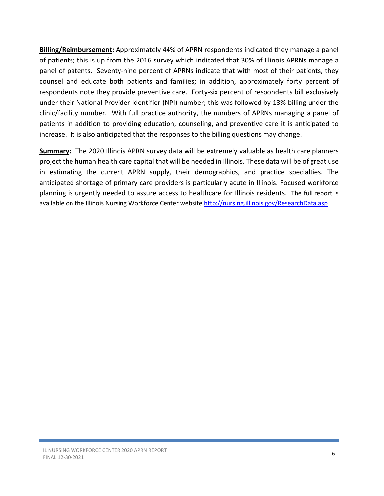Billing/Reimbursement: Approximately 44% of APRN respondents indicated they manage a panel of patients; this is up from the 2016 survey which indicated that 30% of Illinois APRNs manage a panel of patents. Seventy-nine percent of APRNs indicate that with most of their patients, they counsel and educate both patients and families; in addition, approximately forty percent of respondents note they provide preventive care. Forty-six percent of respondents bill exclusively under their National Provider Identifier (NPI) number; this was followed by 13% billing under the clinic/facility number. With full practice authority, the numbers of APRNs managing a panel of patients in addition to providing education, counseling, and preventive care it is anticipated to increase. It is also anticipated that the responses to the billing questions may change.

Summary: The 2020 Illinois APRN survey data will be extremely valuable as health care planners project the human health care capital that will be needed in Illinois. These data will be of great use in estimating the current APRN supply, their demographics, and practice specialties. The anticipated shortage of primary care providers is particularly acute in Illinois. Focused workforce planning is urgently needed to assure access to healthcare for Illinois residents. The full report is available on the Illinois Nursing Workforce Center website http://nursing.illinois.gov/ResearchData.asp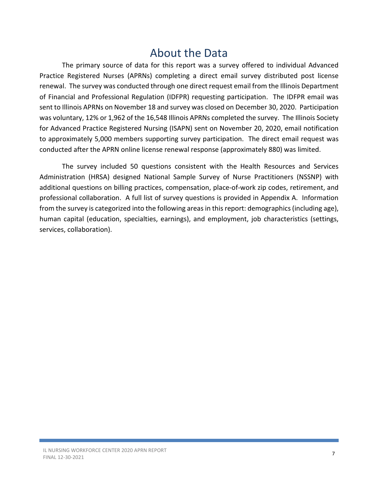### About the Data

The primary source of data for this report was a survey offered to individual Advanced Practice Registered Nurses (APRNs) completing a direct email survey distributed post license renewal. The survey was conducted through one direct request email from the Illinois Department of Financial and Professional Regulation (IDFPR) requesting participation. The IDFPR email was sent to Illinois APRNs on November 18 and survey was closed on December 30, 2020. Participation was voluntary, 12% or 1,962 of the 16,548 Illinois APRNs completed the survey. The Illinois Society for Advanced Practice Registered Nursing (ISAPN) sent on November 20, 2020, email notification to approximately 5,000 members supporting survey participation. The direct email request was conducted after the APRN online license renewal response (approximately 880) was limited.

The survey included 50 questions consistent with the Health Resources and Services Administration (HRSA) designed National Sample Survey of Nurse Practitioners (NSSNP) with additional questions on billing practices, compensation, place-of-work zip codes, retirement, and professional collaboration. A full list of survey questions is provided in Appendix A. Information from the survey is categorized into the following areas in this report: demographics (including age), human capital (education, specialties, earnings), and employment, job characteristics (settings, services, collaboration).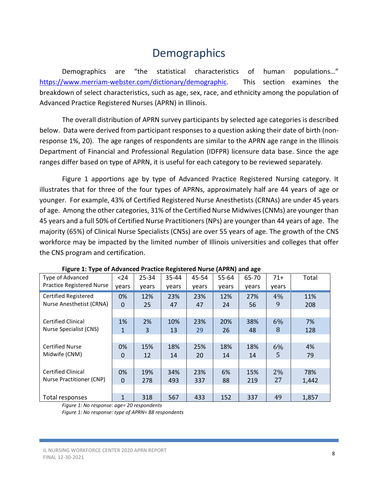# **Demographics**

Demographics are "the statistical characteristics of human populations…" https://www.merriam-webster.com/dictionary/demographic. This section examines the breakdown of select characteristics, such as age, sex, race, and ethnicity among the population of Advanced Practice Registered Nurses (APRN) in Illinois.

The overall distribution of APRN survey participants by selected age categories is described below. Data were derived from participant responses to a question asking their date of birth (nonresponse 1%, 20). The age ranges of respondents are similar to the APRN age range in the Illinois Department of Financial and Professional Regulation (IDFPR) licensure data base. Since the age ranges differ based on type of APRN, it is useful for each category to be reviewed separately.

Figure 1 apportions age by type of Advanced Practice Registered Nursing category. It illustrates that for three of the four types of APRNs, approximately half are 44 years of age or younger. For example, 43% of Certified Registered Nurse Anesthetists (CRNAs) are under 45 years of age. Among the other categories, 31% of the Certified Nurse Midwives (CNMs) are younger than 45 years and a full 50% of Certified Nurse Practitioners (NPs) are younger than 44 years of age. The majority (65%) of Clinical Nurse Specialists (CNSs) are over 55 years of age. The growth of the CNS workforce may be impacted by the limited number of Illinois universities and colleges that offer the CNS program and certification.

| . .                              |              |       |       |       |       |       |       |       |
|----------------------------------|--------------|-------|-------|-------|-------|-------|-------|-------|
| Type of Advanced                 | $24$         | 25-34 | 35-44 | 45-54 | 55-64 | 65-70 | $71+$ | Total |
| <b>Practice Registered Nurse</b> | vears        | years | years | years | years | years | years |       |
| <b>Certified Registered</b>      | 0%           | 12%   | 23%   | 23%   | 12%   | 27%   | 4%    | 11%   |
| Nurse Anesthetist (CRNA)         | $\Omega$     | 25    | 47    | 47    | 24    | 56    | 9     | 208   |
|                                  |              |       |       |       |       |       |       |       |
| <b>Certified Clinical</b>        | 1%           | 2%    | 10%   | 23%   | 20%   | 38%   | 6%    | 7%    |
| Nurse Specialist (CNS)           | 1            | 3     | 13    | 29    | 26    | 48    | 8     | 128   |
|                                  |              |       |       |       |       |       |       |       |
| <b>Certified Nurse</b>           | 0%           | 15%   | 18%   | 25%   | 18%   | 18%   | 6%    | 4%    |
| Midwife (CNM)                    | 0            | 12    | 14    | 20    | 14    | 14    | 5     | 79    |
|                                  |              |       |       |       |       |       |       |       |
| <b>Certified Clinical</b>        | 0%           | 19%   | 34%   | 23%   | 6%    | 15%   | 2%    | 78%   |
| Nurse Practitioner (CNP)         | 0            | 278   | 493   | 337   | 88    | 219   | 27    | 1,442 |
|                                  |              |       |       |       |       |       |       |       |
| Total responses                  | $\mathbf{1}$ | 318   | 567   | 433   | 152   | 337   | 49    | 1,857 |

| Figure 1: Type of Advanced Practice Registered Nurse (APRN) and age |
|---------------------------------------------------------------------|
|---------------------------------------------------------------------|

Figure 1: No response: age= 20 respondents

Figure 1: No response: type of APRN= 88 respondents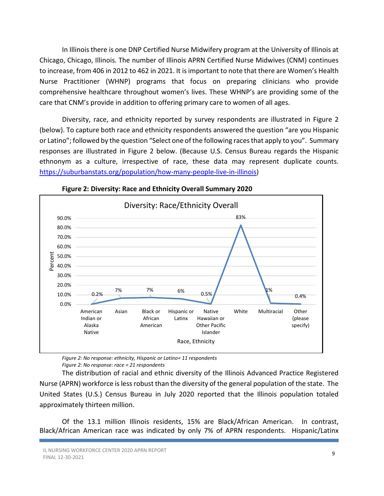In Illinois there is one DNP Certified Nurse Midwifery program at the University of Illinois at Chicago, Chicago, Illinois. The number of Illinois APRN Certified Nurse Midwives (CNM) continues to increase, from 406 in 2012 to 462 in 2021. It is important to note that there are Women's Health Nurse Practitioner (WHNP) programs that focus on preparing clinicians who provide comprehensive healthcare throughout women's lives. These WHNP's are providing some of the care that CNM's provide in addition to offering primary care to women of all ages.

Diversity, race, and ethnicity reported by survey respondents are illustrated in Figure 2 (below). To capture both race and ethnicity respondents answered the question "are you Hispanic or Latino"; followed by the question "Select one of the following races that apply to you". Summary responses are illustrated in Figure 2 below. (Because U.S. Census Bureau regards the Hispanic ethnonym as a culture, irrespective of race, these data may represent duplicate counts. https://suburbanstats.org/population/how-many-people-live-in-illinois)



Figure 2: Diversity: Race and Ethnicity Overall Summary 2020

Figure 2: No response: ethnicity, Hispanic or Latino= 11 respondents Figure 2: No response: race = 21 respondents

The distribution of racial and ethnic diversity of the Illinois Advanced Practice Registered Nurse (APRN) workforce is less robust than the diversity of the general population of the state. The United States (U.S.) Census Bureau in July 2020 reported that the Illinois population totaled approximately thirteen million.

Of the 13.1 million Illinois residents, 15% are Black/African American. In contrast, Black/African American race was indicated by only 7% of APRN respondents. Hispanic/Latinx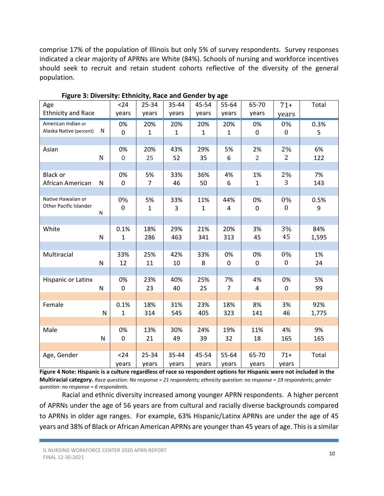comprise 17% of the population of Illinois but only 5% of survey respondents. Survey responses indicated a clear majority of APRNs are White (84%). Schools of nursing and workforce incentives should seek to recruit and retain student cohorts reflective of the diversity of the general population.

| Age                                 |              | $24$             | 25-34                | 35-44        | 45-54        | 55-64          | 65-70              | $71+$            | Total |
|-------------------------------------|--------------|------------------|----------------------|--------------|--------------|----------------|--------------------|------------------|-------|
| <b>Ethnicity and Race</b>           |              | years            | years                | years        | years        | years          | years              | years            |       |
| American Indian or                  |              | 0%               | 20%                  | 20%          | 20%          | 20%            | 0%                 | 0%               | 0.3%  |
| Alaska Native (percent)             | N            | $\mathbf 0$      | 1                    | $\mathbf{1}$ | 1            | $\mathbf{1}$   | $\mathbf 0$        | $\bf{0}$         | 5     |
|                                     |              |                  |                      |              |              |                |                    |                  |       |
| Asian                               |              | 0%               | 20%                  | 43%          | 29%          | 5%             | 2%                 | 2%               | 6%    |
|                                     | $\mathbf N$  | $\mathbf 0$      | 25                   | 52           | 35           | 6              | $\overline{2}$     | 2                | 122   |
|                                     |              |                  |                      |              |              |                |                    |                  | 7%    |
| <b>Black or</b><br>African American | N            | 0%<br>0          | 5%<br>$\overline{7}$ | 33%<br>46    | 36%<br>50    | 4%<br>6        | 1%<br>$\mathbf{1}$ | 2%<br>3          | 143   |
|                                     |              |                  |                      |              |              |                |                    |                  |       |
| Native Hawaiian or                  |              | 0%               | 5%                   | 33%          | 11%          | 44%            | 0%                 | 0%               | 0.5%  |
| Other Pacific Islander              |              | $\boldsymbol{0}$ | $\mathbf{1}$         | 3            | $\mathbf{1}$ | 4              | 0                  | $\boldsymbol{0}$ | 9     |
|                                     | N            |                  |                      |              |              |                |                    |                  |       |
|                                     |              |                  |                      |              |              |                |                    |                  |       |
| White                               |              | 0.1%             | 18%                  | 29%          | 21%          | 20%            | 3%                 | 3%               | 84%   |
|                                     | $\mathsf{N}$ | 1                | 286                  | 463          | 341          | 313            | 45                 | 45               | 1,595 |
| Multiracial                         |              | 33%              | 25%                  | 42%          | 33%          | 0%             | 0%                 | 0%               | 1%    |
|                                     | ${\sf N}$    | 12               | 11                   | 10           | 8            | 0              | 0                  | $\boldsymbol{0}$ | 24    |
|                                     |              |                  |                      |              |              |                |                    |                  |       |
| Hispanic or Latinx                  |              | 0%               | 23%                  | 40%          | 25%          | 7%             | 4%                 | 0%               | 5%    |
|                                     | $\mathsf{N}$ | $\mathbf 0$      | 23                   | 40           | 25           | $\overline{7}$ | 4                  | $\mathbf 0$      | 99    |
|                                     |              |                  |                      |              |              |                |                    |                  |       |
| Female                              |              | 0.1%             | 18%                  | 31%          | 23%          | 18%            | 8%                 | 3%               | 92%   |
|                                     | N            | $\mathbf{1}$     | 314                  | 545          | 405          | 323            | 141                | 46               | 1,775 |
|                                     |              |                  |                      |              |              |                |                    |                  |       |
| Male                                |              | 0%               | 13%                  | 30%          | 24%          | 19%            | 11%                | 4%               | 9%    |
|                                     | ${\sf N}$    | $\mathbf 0$      | 21                   | 49           | 39           | 32             | 18                 | 165              | 165   |
|                                     |              |                  |                      |              |              |                |                    |                  |       |
| Age, Gender                         |              | $24$             | 25-34                | 35-44        | 45-54        | 55-64          | 65-70              | $71+$            | Total |
|                                     |              | years            | years                | years        | years        | years          | years              | years            |       |

Figure 3: Diversity: Ethnicity, Race and Gender by age

Figure 4 Note: Hispanic is a culture regardless of race so respondent options for Hispanic were not included in the Multiracial category. Race question: No response = 21 respondents; ethnicity question: no response = 19 respondents; gender question: no response = 6 respondents.

Racial and ethnic diversity increased among younger APRN respondents. A higher percent of APRNs under the age of 56 years are from cultural and racially diverse backgrounds compared to APRNs in older age ranges. For example, 63% Hispanic/Latinx APRNs are under the age of 45 years and 38% of Black or African American APRNs are younger than 45 years of age. This is a similar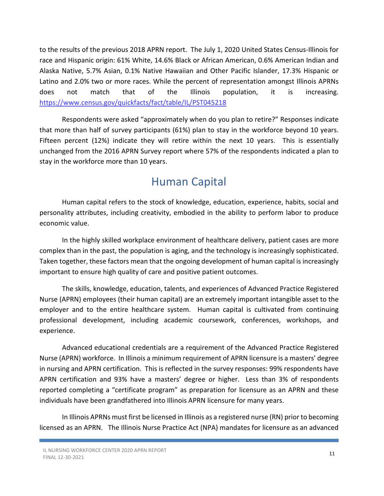to the results of the previous 2018 APRN report. The July 1, 2020 United States Census-Illinois for race and Hispanic origin: 61% White, 14.6% Black or African American, 0.6% American Indian and Alaska Native, 5.7% Asian, 0.1% Native Hawaiian and Other Pacific Islander, 17.3% Hispanic or Latino and 2.0% two or more races. While the percent of representation amongst Illinois APRNs does not match that of the Illinois population, it is increasing. https://www.census.gov/quickfacts/fact/table/IL/PST045218

Respondents were asked "approximately when do you plan to retire?" Responses indicate that more than half of survey participants (61%) plan to stay in the workforce beyond 10 years. Fifteen percent (12%) indicate they will retire within the next 10 years. This is essentially unchanged from the 2016 APRN Survey report where 57% of the respondents indicated a plan to stay in the workforce more than 10 years.

### Human Capital

Human capital refers to the stock of knowledge, education, experience, habits, social and personality attributes, including creativity, embodied in the ability to perform labor to produce economic value.

In the highly skilled workplace environment of healthcare delivery, patient cases are more complex than in the past, the population is aging, and the technology is increasingly sophisticated. Taken together, these factors mean that the ongoing development of human capital is increasingly important to ensure high quality of care and positive patient outcomes.

The skills, knowledge, education, talents, and experiences of Advanced Practice Registered Nurse (APRN) employees (their human capital) are an extremely important intangible asset to the employer and to the entire healthcare system. Human capital is cultivated from continuing professional development, including academic coursework, conferences, workshops, and experience.

Advanced educational credentials are a requirement of the Advanced Practice Registered Nurse (APRN) workforce. In Illinois a minimum requirement of APRN licensure is a masters' degree in nursing and APRN certification. This is reflected in the survey responses: 99% respondents have APRN certification and 93% have a masters' degree or higher. Less than 3% of respondents reported completing a "certificate program" as preparation for licensure as an APRN and these individuals have been grandfathered into Illinois APRN licensure for many years.

In Illinois APRNs must first be licensed in Illinois as a registered nurse (RN) prior to becoming licensed as an APRN. The Illinois Nurse Practice Act (NPA) mandates for licensure as an advanced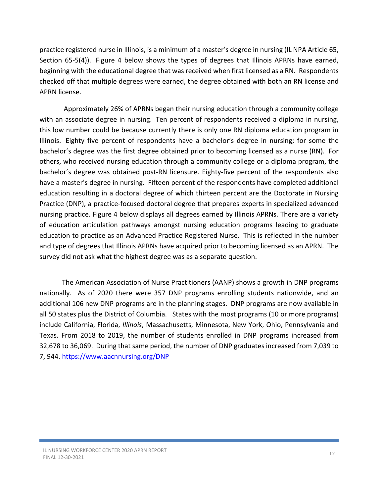practice registered nurse in Illinois, is a minimum of a master's degree in nursing (IL NPA Article 65, Section 65-5(4)). Figure 4 below shows the types of degrees that Illinois APRNs have earned, beginning with the educational degree that was received when first licensed as a RN. Respondents checked off that multiple degrees were earned, the degree obtained with both an RN license and APRN license.

 Approximately 26% of APRNs began their nursing education through a community college with an associate degree in nursing. Ten percent of respondents received a diploma in nursing, this low number could be because currently there is only one RN diploma education program in Illinois. Eighty five percent of respondents have a bachelor's degree in nursing; for some the bachelor's degree was the first degree obtained prior to becoming licensed as a nurse (RN). For others, who received nursing education through a community college or a diploma program, the bachelor's degree was obtained post-RN licensure. Eighty-five percent of the respondents also have a master's degree in nursing. Fifteen percent of the respondents have completed additional education resulting in a doctoral degree of which thirteen percent are the Doctorate in Nursing Practice (DNP), a practice-focused doctoral degree that prepares experts in specialized advanced nursing practice. Figure 4 below displays all degrees earned by Illinois APRNs. There are a variety of education articulation pathways amongst nursing education programs leading to graduate education to practice as an Advanced Practice Registered Nurse. This is reflected in the number and type of degrees that Illinois APRNs have acquired prior to becoming licensed as an APRN. The survey did not ask what the highest degree was as a separate question.

The American Association of Nurse Practitioners (AANP) shows a growth in DNP programs nationally. As of 2020 there were 357 DNP programs enrolling students nationwide, and an additional 106 new DNP programs are in the planning stages. DNP programs are now available in all 50 states plus the District of Columbia. States with the most programs (10 or more programs) include California, Florida, Illinois, Massachusetts, Minnesota, New York, Ohio, Pennsylvania and Texas. From 2018 to 2019, the number of students enrolled in DNP programs increased from 32,678 to 36,069. During that same period, the number of DNP graduates increased from 7,039 to 7, 944. https://www.aacnnursing.org/DNP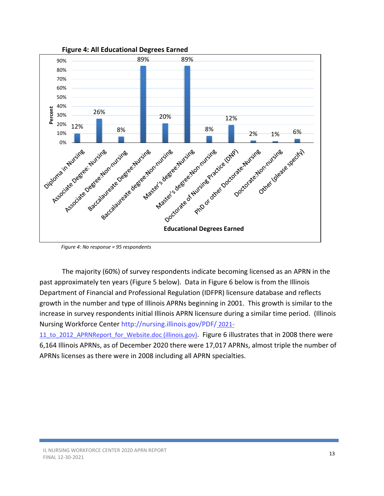

Figure 4: No response = 95 respondents

The majority (60%) of survey respondents indicate becoming licensed as an APRN in the past approximately ten years (Figure 5 below). Data in Figure 6 below is from the Illinois Department of Financial and Professional Regulation (IDFPR) licensure database and reflects growth in the number and type of Illinois APRNs beginning in 2001. This growth is similar to the increase in survey respondents initial Illinois APRN licensure during a similar time period. (Illinois Nursing Workforce Center http://nursing.illinois.gov/PDF/ 2021-

11 to 2012 APRNReport for Website.doc (illinois.gov). Figure 6 illustrates that in 2008 there were 6,164 Illinois APRNs, as of December 2020 there were 17,017 APRNs, almost triple the number of APRNs licenses as there were in 2008 including all APRN specialties.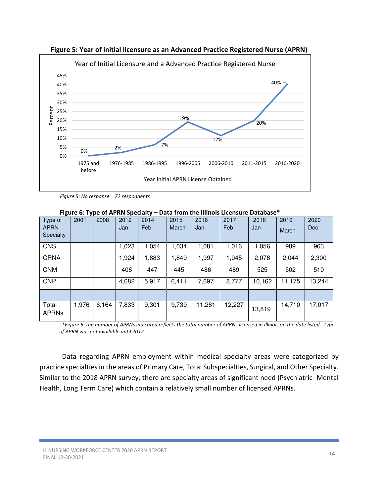

Figure 5: Year of initial licensure as an Advanced Practice Registered Nurse (APRN)

Figure 5: No response = 72 respondents

| Type of<br><b>APRN</b><br>Specialty | 2001  | 2008  | 2012<br>Jan | 2014<br>Feb | 2015<br>March | 2016<br>Jan | 2017<br>Feb | 2018<br>Jan | 2019<br>March | 2020<br><b>Dec</b> |
|-------------------------------------|-------|-------|-------------|-------------|---------------|-------------|-------------|-------------|---------------|--------------------|
| <b>CNS</b>                          |       |       | 1,023       | 1,054       | 1,034         | 1,081       | 1,016       | 1,056       | 989           | 963                |
| <b>CRNA</b>                         |       |       | 1,924       | 1,883       | 1,849         | 1,997       | 1,945       | 2,076       | 2,044         | 2,300              |
| <b>CNM</b>                          |       |       | 406         | 447         | 445           | 486         | 489         | 525         | 502           | 510                |
| <b>CNP</b>                          |       |       | 4,682       | 5,917       | 6,411         | 7,697       | 8,777       | 10,162      | 11,175        | 13,244             |
|                                     |       |       |             |             |               |             |             |             |               |                    |
| Total<br><b>APRNs</b>               | 1,976 | 6,164 | 7,833       | 9,301       | 9,739         | 11,261      | 12,227      | 13,819      | 14,710        | 17,017             |

Figure 6: Type of APRN Specialty – Data from the Illinois Licensure Database\*

\*Figure 6: the number of APRNs indicated reflects the total number of APRNs licensed in Illinois on the date listed. Type of APRN was not available until 2012.

Data regarding APRN employment within medical specialty areas were categorized by practice specialties in the areas of Primary Care, Total Subspecialties, Surgical, and Other Specialty. Similar to the 2018 APRN survey, there are specialty areas of significant need (Psychiatric- Mental Health, Long Term Care) which contain a relatively small number of licensed APRNs.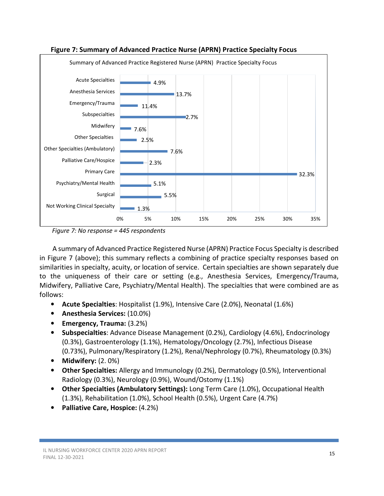

#### Figure 7: Summary of Advanced Practice Nurse (APRN) Practice Specialty Focus

Figure 7: No response = 445 respondents

 A summary of Advanced Practice Registered Nurse (APRN) Practice Focus Specialty is described in Figure 7 (above); this summary reflects a combining of practice specialty responses based on similarities in specialty, acuity, or location of service. Certain specialties are shown separately due to the uniqueness of their care or setting (e.g., Anesthesia Services, Emergency/Trauma, Midwifery, Palliative Care, Psychiatry/Mental Health). The specialties that were combined are as follows:

- Acute Specialties: Hospitalist (1.9%), Intensive Care (2.0%), Neonatal (1.6%)
- Anesthesia Services: (10.0%)
- Emergency, Trauma: (3.2%)
- Subspecialties: Advance Disease Management (0.2%), Cardiology (4.6%), Endocrinology (0.3%), Gastroenterology (1.1%), Hematology/Oncology (2.7%), Infectious Disease (0.73%), Pulmonary/Respiratory (1.2%), Renal/Nephrology (0.7%), Rheumatology (0.3%)
- Midwifery: (2. 0%)
- Other Specialties: Allergy and Immunology (0.2%), Dermatology (0.5%), Interventional Radiology (0.3%), Neurology (0.9%), Wound/Ostomy (1.1%)
- Other Specialties (Ambulatory Settings): Long Term Care (1.0%), Occupational Health (1.3%), Rehabilitation (1.0%), School Health (0.5%), Urgent Care (4.7%)
- Palliative Care, Hospice: (4.2%)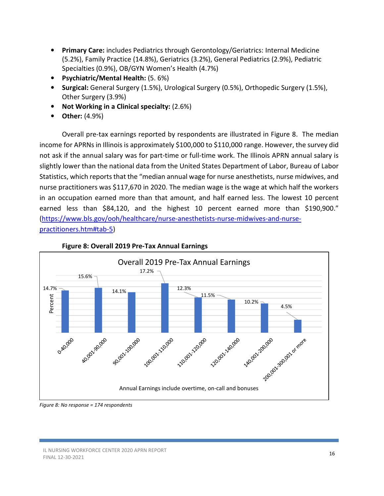- Primary Care: includes Pediatrics through Gerontology/Geriatrics: Internal Medicine (5.2%), Family Practice (14.8%), Geriatrics (3.2%), General Pediatrics (2.9%), Pediatric Specialties (0.9%), OB/GYN Women's Health (4.7%)
- Psychiatric/Mental Health: (5. 6%)
- Surgical: General Surgery (1.5%), Urological Surgery (0.5%), Orthopedic Surgery (1.5%), Other Surgery (3.9%)
- Not Working in a Clinical specialty: (2.6%)
- Other: (4.9%)

Overall pre-tax earnings reported by respondents are illustrated in Figure 8. The median income for APRNs in Illinois is approximately \$100,000 to \$110,000 range. However, the survey did not ask if the annual salary was for part-time or full-time work. The Illinois APRN annual salary is slightly lower than the national data from the United States Department of Labor, Bureau of Labor Statistics, which reports that the "median annual wage for nurse anesthetists, nurse midwives, and nurse practitioners was \$117,670 in 2020. The median wage is the wage at which half the workers in an occupation earned more than that amount, and half earned less. The lowest 10 percent earned less than \$84,120, and the highest 10 percent earned more than \$190,900." (https://www.bls.gov/ooh/healthcare/nurse-anesthetists-nurse-midwives-and-nursepractitioners.htm#tab-5)



#### Figure 8: Overall 2019 Pre-Tax Annual Earnings

Figure 8: No response = 174 respondents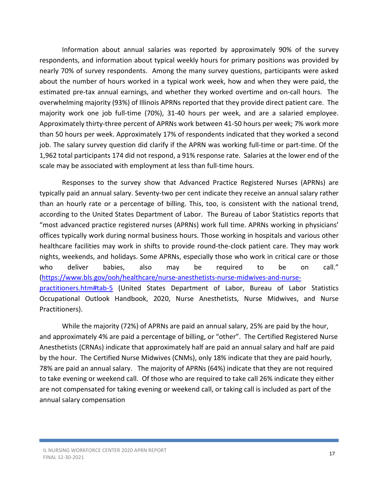Information about annual salaries was reported by approximately 90% of the survey respondents, and information about typical weekly hours for primary positions was provided by nearly 70% of survey respondents. Among the many survey questions, participants were asked about the number of hours worked in a typical work week, how and when they were paid, the estimated pre-tax annual earnings, and whether they worked overtime and on-call hours. The overwhelming majority (93%) of Illinois APRNs reported that they provide direct patient care. The majority work one job full-time (70%), 31-40 hours per week, and are a salaried employee. Approximately thirty-three percent of APRNs work between 41-50 hours per week; 7% work more than 50 hours per week. Approximately 17% of respondents indicated that they worked a second job. The salary survey question did clarify if the APRN was working full-time or part-time. Of the 1,962 total participants 174 did not respond, a 91% response rate. Salaries at the lower end of the scale may be associated with employment at less than full-time hours.

Responses to the survey show that Advanced Practice Registered Nurses (APRNs) are typically paid an annual salary. Seventy-two per cent indicate they receive an annual salary rather than an hourly rate or a percentage of billing. This, too, is consistent with the national trend, according to the United States Department of Labor. The Bureau of Labor Statistics reports that "most advanced practice registered nurses (APRNs) work full time. APRNs working in physicians' offices typically work during normal business hours. Those working in hospitals and various other healthcare facilities may work in shifts to provide round-the-clock patient care. They may work nights, weekends, and holidays. Some APRNs, especially those who work in critical care or those who deliver babies, also may be required to be on call." (https://www.bls.gov/ooh/healthcare/nurse-anesthetists-nurse-midwives-and-nursepractitioners.htm#tab-5 (United States Department of Labor, Bureau of Labor Statistics Occupational Outlook Handbook, 2020, Nurse Anesthetists, Nurse Midwives, and Nurse Practitioners).

 While the majority (72%) of APRNs are paid an annual salary, 25% are paid by the hour, and approximately 4% are paid a percentage of billing, or "other". The Certified Registered Nurse Anesthetists (CRNAs) indicate that approximately half are paid an annual salary and half are paid by the hour. The Certified Nurse Midwives (CNMs), only 18% indicate that they are paid hourly, 78% are paid an annual salary. The majority of APRNs (64%) indicate that they are not required to take evening or weekend call. Of those who are required to take call 26% indicate they either are not compensated for taking evening or weekend call, or taking call is included as part of the annual salary compensation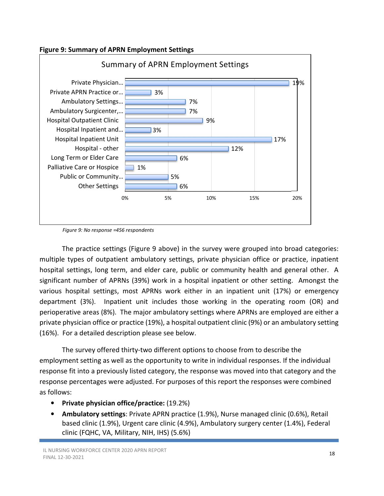



Figure 9: No response =456 respondents

The practice settings (Figure 9 above) in the survey were grouped into broad categories: multiple types of outpatient ambulatory settings, private physician office or practice, inpatient hospital settings, long term, and elder care, public or community health and general other. A significant number of APRNs (39%) work in a hospital inpatient or other setting. Amongst the various hospital settings, most APRNs work either in an inpatient unit (17%) or emergency department (3%). Inpatient unit includes those working in the operating room (OR) and perioperative areas (8%). The major ambulatory settings where APRNs are employed are either a private physician office or practice (19%), a hospital outpatient clinic (9%) or an ambulatory setting (16%). For a detailed description please see below.

The survey offered thirty-two different options to choose from to describe the employment setting as well as the opportunity to write in individual responses. If the individual response fit into a previously listed category, the response was moved into that category and the response percentages were adjusted. For purposes of this report the responses were combined as follows:

- Private physician office/practice: (19.2%)
- Ambulatory settings: Private APRN practice (1.9%), Nurse managed clinic (0.6%), Retail based clinic (1.9%), Urgent care clinic (4.9%), Ambulatory surgery center (1.4%), Federal clinic (FQHC, VA, Military, NIH, IHS) (5.6%)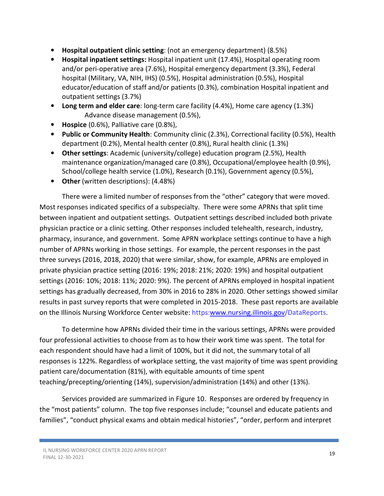- Hospital outpatient clinic setting: (not an emergency department) (8.5%)
- Hospital inpatient settings: Hospital inpatient unit (17.4%), Hospital operating room and/or peri-operative area (7.6%), Hospital emergency department (3.3%), Federal hospital (Military, VA, NIH, IHS) (0.5%), Hospital administration (0.5%), Hospital educator/education of staff and/or patients (0.3%), combination Hospital inpatient and outpatient settings (3.7%)
- Long term and elder care: long-term care facility (4.4%), Home care agency (1.3%) Advance disease management (0.5%),
- Hospice (0.6%), Palliative care (0.8%),
- Public or Community Health: Community clinic (2.3%), Correctional facility (0.5%), Health department (0.2%), Mental health center (0.8%), Rural health clinic (1.3%)
- Other settings: Academic (university/college) education program (2.5%), Health maintenance organization/managed care (0.8%), Occupational/employee health (0.9%), School/college health service (1.0%), Research (0.1%), Government agency (0.5%),
- Other (written descriptions): (4.48%)

There were a limited number of responses from the "other" category that were moved. Most responses indicated specifics of a subspecialty. There were some APRNs that split time between inpatient and outpatient settings. Outpatient settings described included both private physician practice or a clinic setting. Other responses included telehealth, research, industry, pharmacy, insurance, and government. Some APRN workplace settings continue to have a high number of APRNs working in those settings. For example, the percent responses in the past three surveys (2016, 2018, 2020) that were similar, show, for example, APRNs are employed in private physician practice setting (2016: 19%; 2018: 21%; 2020: 19%) and hospital outpatient settings (2016: 10%; 2018: 11%; 2020: 9%). The percent of APRNs employed in hospital inpatient settings has gradually decreased, from 30% in 2016 to 28% in 2020. Other settings showed similar results in past survey reports that were completed in 2015-2018. These past reports are available on the Illinois Nursing Workforce Center website: https:www.nursing.illinois.gov/DataReports.

To determine how APRNs divided their time in the various settings, APRNs were provided four professional activities to choose from as to how their work time was spent. The total for each respondent should have had a limit of 100%, but it did not, the summary total of all responses is 122%. Regardless of workplace setting, the vast majority of time was spent providing patient care/documentation (81%), with equitable amounts of time spent teaching/precepting/orienting (14%), supervision/administration (14%) and other (13%).

Services provided are summarized in Figure 10. Responses are ordered by frequency in the "most patients" column. The top five responses include; "counsel and educate patients and families", "conduct physical exams and obtain medical histories", "order, perform and interpret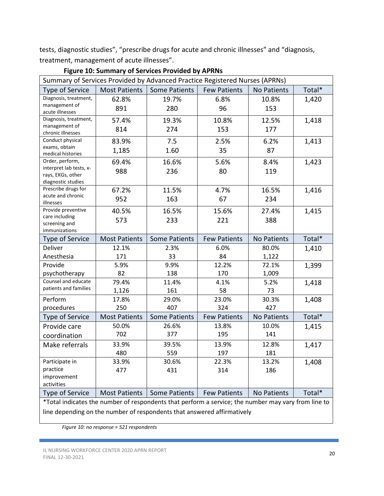tests, diagnostic studies", "prescribe drugs for acute and chronic illnesses" and "diagnosis, treatment, management of acute illnesses".

| Summary of Services Provided by Advanced Practice Registered Nurses (APRNs) |                      |                      |                     |                    |        |  |  |  |  |  |
|-----------------------------------------------------------------------------|----------------------|----------------------|---------------------|--------------------|--------|--|--|--|--|--|
| Type of Service                                                             | <b>Most Patients</b> | Some Patients        | <b>Few Patients</b> | No Patients        | Total* |  |  |  |  |  |
| Diagnosis, treatment,                                                       | 62.8%                | 19.7%                | 6.8%                | 10.8%              | 1,420  |  |  |  |  |  |
| management of<br>acute illnesses                                            | 891                  | 280                  | 96                  | 153                |        |  |  |  |  |  |
| Diagnosis, treatment,                                                       | 57.4%                | 19.3%                | 10.8%               | 12.5%              | 1,418  |  |  |  |  |  |
| management of                                                               | 814                  | 274                  | 153                 | 177                |        |  |  |  |  |  |
| chronic illnesses<br>Conduct physical                                       | 83.9%                | 7.5                  | 2.5%                | 6.2%               | 1,413  |  |  |  |  |  |
| exams, obtain                                                               |                      |                      |                     |                    |        |  |  |  |  |  |
| medical histories                                                           | 1,185                | 1.60                 | 35                  | 87                 |        |  |  |  |  |  |
| Order, perform,                                                             | 69.4%                | 16.6%                | 5.6%                | 8.4%               | 1,423  |  |  |  |  |  |
| interpret lab tests, x-                                                     | 988                  | 236                  | 80                  | 119                |        |  |  |  |  |  |
| rays, EKGs, other<br>diagnostic studies                                     |                      |                      |                     |                    |        |  |  |  |  |  |
| Prescribe drugs for                                                         | 67.2%                | 11.5%                | 4.7%                | 16.5%              | 1,416  |  |  |  |  |  |
| acute and chronic                                                           | 952                  | 163                  | 67                  | 234                |        |  |  |  |  |  |
| illnesses                                                                   |                      |                      |                     |                    |        |  |  |  |  |  |
| Provide preventive                                                          | 40.5%                | 16.5%                | 15.6%               | 27.4%              | 1,415  |  |  |  |  |  |
| care including<br>screening and                                             | 573                  | 233                  | 221                 | 388                |        |  |  |  |  |  |
| immunizations                                                               |                      |                      |                     |                    |        |  |  |  |  |  |
| Type of Service                                                             | <b>Most Patients</b> | <b>Some Patients</b> | <b>Few Patients</b> | <b>No Patients</b> | Total* |  |  |  |  |  |
| <b>Deliver</b>                                                              | 12.1%                | 2.3%                 | 6.0%                | 80.0%              | 1,410  |  |  |  |  |  |
| Anesthesia                                                                  | 171                  | 33                   | 84                  | 1,122              |        |  |  |  |  |  |
| Provide                                                                     | 5.9%                 | 9.9%                 | 12.2%               | 72.1%              | 1,399  |  |  |  |  |  |
| psychotherapy                                                               | 82                   | 138                  | 170                 | 1,009              |        |  |  |  |  |  |
| Counsel and educate                                                         | 79.4%                | 11.4%                | 4.1%                | 5.2%               | 1,418  |  |  |  |  |  |
| patients and families                                                       | 1,126                | 161                  | 58                  | 73                 |        |  |  |  |  |  |
| Perform                                                                     | 17.8%                | 29.0%                | 23.0%               | 30.3%              | 1,408  |  |  |  |  |  |
| procedures                                                                  | 250                  | 407                  | 324                 | 427                |        |  |  |  |  |  |
| <b>Type of Service</b>                                                      | <b>Most Patients</b> | <b>Some Patients</b> | <b>Few Patients</b> | <b>No Patients</b> | Total* |  |  |  |  |  |
| Provide care                                                                | 50.0%                | 26.6%                | 13.8%               | 10.0%              | 1,415  |  |  |  |  |  |
| coordination                                                                | 702                  | 377                  | 195                 | 141                |        |  |  |  |  |  |
| Make referrals                                                              | 33.9%                | 39.5%                | 13.9%               | 12.8%              | 1,417  |  |  |  |  |  |
|                                                                             | 480                  | 559                  | 197                 | 181                |        |  |  |  |  |  |
| Participate in                                                              | 33.9%                | 30.6%                | 22.3%               | 13.2%              | 1,408  |  |  |  |  |  |
| practice                                                                    | 477                  | 431                  | 314                 | 186                |        |  |  |  |  |  |
| improvement                                                                 |                      |                      |                     |                    |        |  |  |  |  |  |
| activities                                                                  |                      |                      |                     |                    |        |  |  |  |  |  |
| Type of Service                                                             | <b>Most Patients</b> | <b>Some Patients</b> | <b>Few Patients</b> | No Patients        | Total* |  |  |  |  |  |

Figure 10: Summary of Services Provided by APRNs

\*Total indicates the number of respondents that perform a service; the number may vary from line to line depending on the number of respondents that answered affirmatively

Figure 10: no response = 521 respondents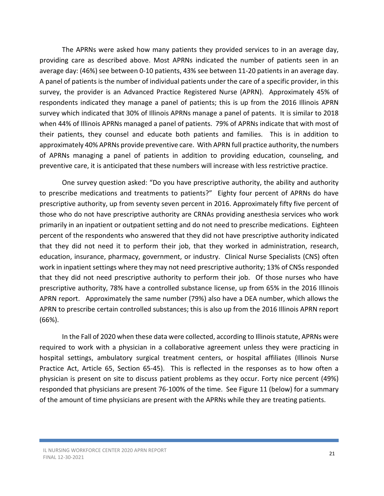The APRNs were asked how many patients they provided services to in an average day, providing care as described above. Most APRNs indicated the number of patients seen in an average day: (46%) see between 0-10 patients, 43% see between 11-20 patients in an average day. A panel of patients is the number of individual patients under the care of a specific provider, in this survey, the provider is an Advanced Practice Registered Nurse (APRN). Approximately 45% of respondents indicated they manage a panel of patients; this is up from the 2016 Illinois APRN survey which indicated that 30% of Illinois APRNs manage a panel of patents. It is similar to 2018 when 44% of Illinois APRNs managed a panel of patients. 79% of APRNs indicate that with most of their patients, they counsel and educate both patients and families. This is in addition to approximately 40% APRNs provide preventive care. With APRN full practice authority, the numbers of APRNs managing a panel of patients in addition to providing education, counseling, and preventive care, it is anticipated that these numbers will increase with less restrictive practice.

One survey question asked: "Do you have prescriptive authority, the ability and authority to prescribe medications and treatments to patients?" Eighty four percent of APRNs do have prescriptive authority, up from seventy seven percent in 2016. Approximately fifty five percent of those who do not have prescriptive authority are CRNAs providing anesthesia services who work primarily in an inpatient or outpatient setting and do not need to prescribe medications. Eighteen percent of the respondents who answered that they did not have prescriptive authority indicated that they did not need it to perform their job, that they worked in administration, research, education, insurance, pharmacy, government, or industry. Clinical Nurse Specialists (CNS) often work in inpatient settings where they may not need prescriptive authority; 13% of CNSs responded that they did not need prescriptive authority to perform their job. Of those nurses who have prescriptive authority, 78% have a controlled substance license, up from 65% in the 2016 Illinois APRN report. Approximately the same number (79%) also have a DEA number, which allows the APRN to prescribe certain controlled substances; this is also up from the 2016 Illinois APRN report (66%).

In the Fall of 2020 when these data were collected, according to Illinois statute, APRNs were required to work with a physician in a collaborative agreement unless they were practicing in hospital settings, ambulatory surgical treatment centers, or hospital affiliates (Illinois Nurse Practice Act, Article 65, Section 65-45). This is reflected in the responses as to how often a physician is present on site to discuss patient problems as they occur. Forty nice percent (49%) responded that physicians are present 76-100% of the time. See Figure 11 (below) for a summary of the amount of time physicians are present with the APRNs while they are treating patients.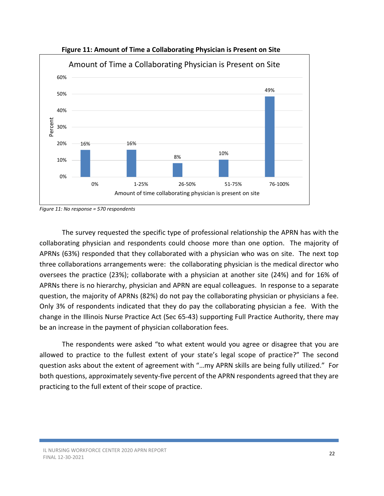

Figure 11: Amount of Time a Collaborating Physician is Present on Site

The survey requested the specific type of professional relationship the APRN has with the collaborating physician and respondents could choose more than one option. The majority of APRNs (63%) responded that they collaborated with a physician who was on site. The next top three collaborations arrangements were: the collaborating physician is the medical director who oversees the practice (23%); collaborate with a physician at another site (24%) and for 16% of APRNs there is no hierarchy, physician and APRN are equal colleagues. In response to a separate question, the majority of APRNs (82%) do not pay the collaborating physician or physicians a fee. Only 3% of respondents indicated that they do pay the collaborating physician a fee. With the change in the Illinois Nurse Practice Act (Sec 65-43) supporting Full Practice Authority, there may be an increase in the payment of physician collaboration fees.

The respondents were asked "to what extent would you agree or disagree that you are allowed to practice to the fullest extent of your state's legal scope of practice?" The second question asks about the extent of agreement with "…my APRN skills are being fully utilized." For both questions, approximately seventy-five percent of the APRN respondents agreed that they are practicing to the full extent of their scope of practice.

Figure 11: No response = 570 respondents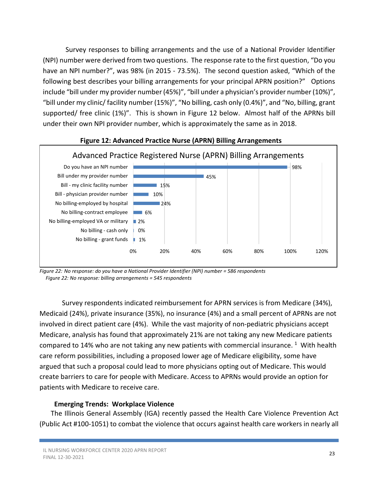Survey responses to billing arrangements and the use of a National Provider Identifier (NPI) number were derived from two questions. The response rate to the first question, "Do you have an NPI number?", was 98% (in 2015 - 73.5%). The second question asked, "Which of the following best describes your billing arrangements for your principal APRN position?" Options include "bill under my provider number (45%)", "bill under a physician's provider number (10%)", "bill under my clinic/ facility number (15%)", "No billing, cash only (0.4%)", and "No, billing, grant supported/ free clinic (1%)". This is shown in Figure 12 below. Almost half of the APRNs bill under their own NPI provider number, which is approximately the same as in 2018.



#### Figure 12: Advanced Practice Nurse (APRN) Billing Arrangements

Figure 22: No response: do you have a National Provider Identifier (NPI) number = 586 respondents Figure 22: No response: billing arrangements = 545 respondents

Survey respondents indicated reimbursement for APRN services is from Medicare (34%), Medicaid (24%), private insurance (35%), no insurance (4%) and a small percent of APRNs are not involved in direct patient care (4%). While the vast majority of non-pediatric physicians accept Medicare, analysis has found that approximately 21% are not taking any new Medicare patients compared to 14% who are not taking any new patients with commercial insurance.  $1$  With health care reform possibilities, including a proposed lower age of Medicare eligibility, some have argued that such a proposal could lead to more physicians opting out of Medicare. This would create barriers to care for people with Medicare. Access to APRNs would provide an option for patients with Medicare to receive care.

#### Emerging Trends: Workplace Violence

The Illinois General Assembly (IGA) recently passed the Health Care Violence Prevention Act (Public Act #100-1051) to combat the violence that occurs against health care workers in nearly all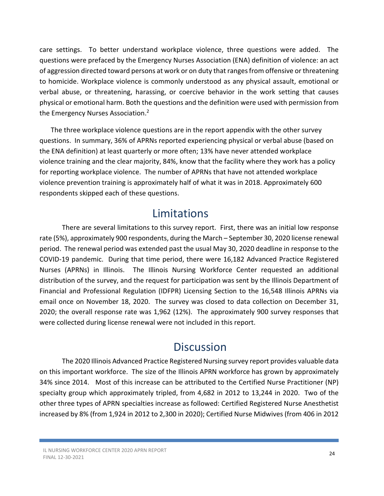care settings. To better understand workplace violence, three questions were added. The questions were prefaced by the Emergency Nurses Association (ENA) definition of violence: an act of aggression directed toward persons at work or on duty that ranges from offensive or threatening to homicide. Workplace violence is commonly understood as any physical assault, emotional or verbal abuse, or threatening, harassing, or coercive behavior in the work setting that causes physical or emotional harm. Both the questions and the definition were used with permission from the Emergency Nurses Association.<sup>2</sup>

The three workplace violence questions are in the report appendix with the other survey questions. In summary, 36% of APRNs reported experiencing physical or verbal abuse (based on the ENA definition) at least quarterly or more often; 13% have never attended workplace violence training and the clear majority, 84%, know that the facility where they work has a policy for reporting workplace violence. The number of APRNs that have not attended workplace violence prevention training is approximately half of what it was in 2018. Approximately 600 respondents skipped each of these questions.

### Limitations

There are several limitations to this survey report. First, there was an initial low response rate (5%), approximately 900 respondents, during the March – September 30, 2020 license renewal period. The renewal period was extended past the usual May 30, 2020 deadline in response to the COVID-19 pandemic. During that time period, there were 16,182 Advanced Practice Registered Nurses (APRNs) in Illinois. The Illinois Nursing Workforce Center requested an additional distribution of the survey, and the request for participation was sent by the Illinois Department of Financial and Professional Regulation (IDFPR) Licensing Section to the 16,548 Illinois APRNs via email once on November 18, 2020. The survey was closed to data collection on December 31, 2020; the overall response rate was 1,962 (12%). The approximately 900 survey responses that were collected during license renewal were not included in this report.

### **Discussion**

The 2020 Illinois Advanced Practice Registered Nursing survey report provides valuable data on this important workforce. The size of the Illinois APRN workforce has grown by approximately 34% since 2014. Most of this increase can be attributed to the Certified Nurse Practitioner (NP) specialty group which approximately tripled, from 4,682 in 2012 to 13,244 in 2020. Two of the other three types of APRN specialties increase as followed: Certified Registered Nurse Anesthetist increased by 8% (from 1,924 in 2012 to 2,300 in 2020); Certified Nurse Midwives (from 406 in 2012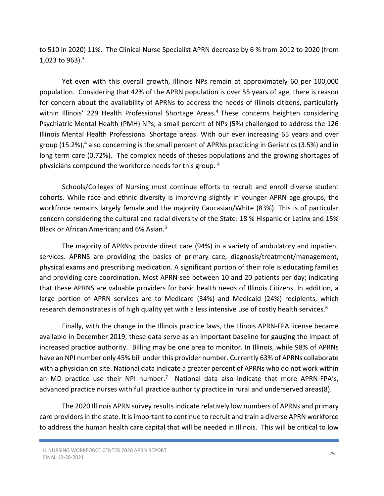to 510 in 2020) 11%. The Clinical Nurse Specialist APRN decrease by 6 % from 2012 to 2020 (from 1,023 to 963).<sup>3</sup>

Yet even with this overall growth, Illinois NPs remain at approximately 60 per 100,000 population. Considering that 42% of the APRN population is over 55 years of age, there is reason for concern about the availability of APRNs to address the needs of Illinois citizens, particularly within Illinois' 229 Health Professional Shortage Areas.<sup>4</sup> These concerns heighten considering Psychiatric Mental Health (PMH) NPs; a small percent of NPs (5%) challenged to address the 126 Illinois Mental Health Professional Shortage areas. With our ever increasing 65 years and over group (15.2%),<sup>4</sup> also concerning is the small percent of APRNs practicing in Geriatrics (3.5%) and in long term care (0.72%). The complex needs of theses populations and the growing shortages of physicians compound the workforce needs for this group. <sup>4</sup>

Schools/Colleges of Nursing must continue efforts to recruit and enroll diverse student cohorts. While race and ethnic diversity is improving slightly in younger APRN age groups, the workforce remains largely female and the majority Caucasian/White (83%). This is of particular concern considering the cultural and racial diversity of the State: 18 % Hispanic or Latinx and 15% Black or African American; and 6% Asian.<sup>5</sup>

 The majority of APRNs provide direct care (94%) in a variety of ambulatory and inpatient services. APRNS are providing the basics of primary care, diagnosis/treatment/management, physical exams and prescribing medication. A significant portion of their role is educating families and providing care coordination. Most APRN see between 10 and 20 patients per day; indicating that these APRNS are valuable providers for basic health needs of Illinois Citizens. In addition, a large portion of APRN services are to Medicare (34%) and Medicaid (24%) recipients, which research demonstrates is of high quality yet with a less intensive use of costly health services.<sup>6</sup>

 Finally, with the change in the Illinois practice laws, the Illinois APRN-FPA license became available in December 2019, these data serve as an important baseline for gauging the impact of increased practice authority. Billing may be one area to monitor. In Illinois, while 98% of APRNs have an NPI number only 45% bill under this provider number. Currently 63% of APRNs collaborate with a physician on site. National data indicate a greater percent of APRNs who do not work within an MD practice use their NPI number.<sup>7</sup> National data also indicate that more APRN-FPA's, advanced practice nurses with full practice authority practice in rural and underserved areas(8).

The 2020 Illinois APRN survey results indicate relatively low numbers of APRNs and primary care providers in the state. It is important to continue to recruit and train a diverse APRN workforce to address the human health care capital that will be needed in Illinois. This will be critical to low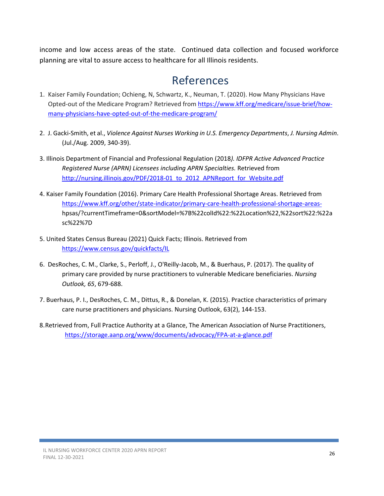income and low access areas of the state. Continued data collection and focused workforce planning are vital to assure access to healthcare for all Illinois residents.

### References

- 1. Kaiser Family Foundation; Ochieng, N, Schwartz, K., Neuman, T. (2020). How Many Physicians Have Opted-out of the Medicare Program? Retrieved from https://www.kff.org/medicare/issue-brief/howmany-physicians-have-opted-out-of-the-medicare-program/
- 2. J. Gacki-Smith, et al., Violence Against Nurses Working in U.S. Emergency Departments, J. Nursing Admin. (Jul./Aug. 2009, 340-39).
- 3. Illinois Department of Financial and Professional Regulation (2018). IDFPR Active Advanced Practice Registered Nurse (APRN) Licensees including APRN Specialties. Retrieved from http://nursing.illinois.gov/PDF/2018-01 to 2012 APNReport for Website.pdf
- 4. Kaiser Family Foundation (2016). Primary Care Health Professional Shortage Areas. Retrieved from https://www.kff.org/other/state-indicator/primary-care-health-professional-shortage-areas hpsas/?currentTimeframe=0&sortModel=%7B%22colId%22:%22Location%22,%22sort%22:%22a sc%22%7D
- 5. United States Census Bureau (2021) Quick Facts; Illinois. Retrieved from https://www.census.gov/quickfacts/IL
- 6. DesRoches, C. M., Clarke, S., Perloff, J., O'Reilly-Jacob, M., & Buerhaus, P. (2017). The quality of primary care provided by nurse practitioners to vulnerable Medicare beneficiaries. Nursing Outlook, 65, 679-688.
- 7. Buerhaus, P. I., DesRoches, C. M., Dittus, R., & Donelan, K. (2015). Practice characteristics of primary care nurse practitioners and physicians. Nursing Outlook, 63(2), 144-153.
- 8.Retrieved from, Full Practice Authority at a Glance, The American Association of Nurse Practitioners, https://storage.aanp.org/www/documents/advocacy/FPA-at-a-glance.pdf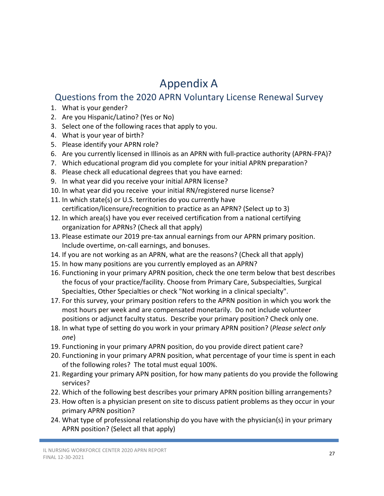# Appendix A

### Questions from the 2020 APRN Voluntary License Renewal Survey

- 1. What is your gender?
- 2. Are you Hispanic/Latino? (Yes or No)
- 3. Select one of the following races that apply to you.
- 4. What is your year of birth?
- 5. Please identify your APRN role?
- 6. Are you currently licensed in Illinois as an APRN with full-practice authority (APRN-FPA)?
- 7. Which educational program did you complete for your initial APRN preparation?
- 8. Please check all educational degrees that you have earned:
- 9. In what year did you receive your initial APRN license?
- 10. In what year did you receive your initial RN/registered nurse license?
- 11. In which state(s) or U.S. territories do you currently have certification/licensure/recognition to practice as an APRN? (Select up to 3)
- 12. In which area(s) have you ever received certification from a national certifying organization for APRNs? (Check all that apply)
- 13. Please estimate our 2019 pre-tax annual earnings from our APRN primary position. Include overtime, on-call earnings, and bonuses.
- 14. If you are not working as an APRN, what are the reasons? (Check all that apply)
- 15. In how many positions are you currently employed as an APRN?
- 16. Functioning in your primary APRN position, check the one term below that best describes the focus of your practice/facility. Choose from Primary Care, Subspecialties, Surgical Specialties, Other Specialties or check "Not working in a clinical specialty".
- 17. For this survey, your primary position refers to the APRN position in which you work the most hours per week and are compensated monetarily. Do not include volunteer positions or adjunct faculty status. Describe your primary position? Check only one.
- 18. In what type of setting do you work in your primary APRN position? (Please select only one)
- 19. Functioning in your primary APRN position, do you provide direct patient care?
- 20. Functioning in your primary APRN position, what percentage of your time is spent in each of the following roles? The total must equal 100%.
- 21. Regarding your primary APN position, for how many patients do you provide the following services?
- 22. Which of the following best describes your primary APRN position billing arrangements?
- 23. How often is a physician present on site to discuss patient problems as they occur in your primary APRN position?
- 24. What type of professional relationship do you have with the physician(s) in your primary APRN position? (Select all that apply)